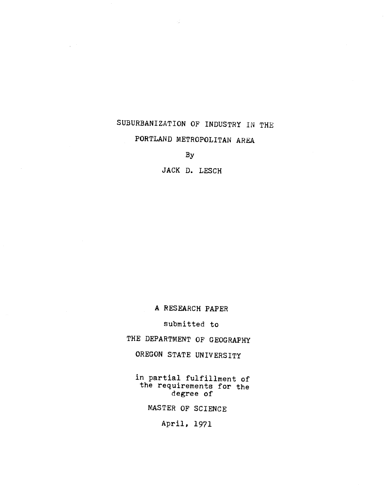## SUBURBANIZATION OF INDUSTRY IN THE PORTLAND METROPOLITAN AREA

By

 $\mathcal{A}$ 

JACK D. LESCH

A RESEARCH PAPER

submitted to

THE DEPARTMENT OF GEOGRAPHY

OREGON STATE UNIVERSITY

in partial fulfillment of the requirements for the degree of

MASTER OF SCIENCE

April, 1971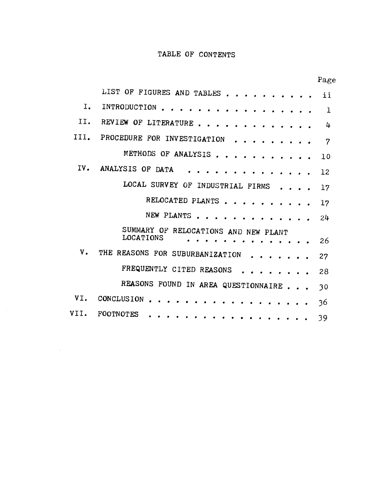### TABLE OF CONTENTS

|                    |                                                                  | <b>Lage</b> |
|--------------------|------------------------------------------------------------------|-------------|
|                    | LIST OF FIGURES AND TABLES ii                                    |             |
| Ι.                 | INTRODUCTION 1                                                   |             |
| II.                | REVIEW OF LITERATURE                                             | 4           |
| III.               | PROCEDURE FOR INVESTIGATION 7                                    |             |
|                    | METHODS OF ANALYSIS 10                                           |             |
| IV.                | ANALYSIS OF DATA 12                                              |             |
|                    | LOCAL SURVEY OF INDUSTRIAL FIRMS 17                              |             |
|                    | RELOCATED PLANTS 17                                              |             |
|                    | NEW PLANTS 24                                                    |             |
|                    | SUMMARY OF RELOCATIONS AND NEW PLANT<br><b>LOCATIONS</b><br>. 26 |             |
| V.                 | THE REASONS FOR SUBURBANIZATION                                  | -27         |
|                    | FREQUENTLY CITED REASONS 28                                      |             |
|                    | REASONS FOUND IN AREA QUESTIONNAIRE 30                           |             |
| VI.                | CONCLUSION 36                                                    |             |
| $\sim 100$<br>VII. | FOOTNOTES 39                                                     |             |

 $\label{eq:2.1} \frac{1}{\sqrt{2}}\int_{\mathbb{R}^3}\frac{1}{\sqrt{2}}\left(\frac{1}{\sqrt{2}}\right)^2\frac{1}{\sqrt{2}}\left(\frac{1}{\sqrt{2}}\right)^2\frac{1}{\sqrt{2}}\left(\frac{1}{\sqrt{2}}\right)^2\frac{1}{\sqrt{2}}\left(\frac{1}{\sqrt{2}}\right)^2.$ 

Page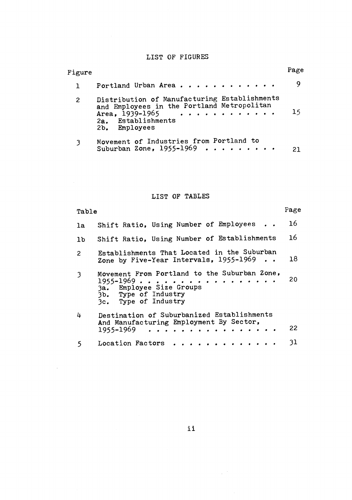### LIST OF FIGURES

| Figure |                                                                                                                                                          | Page |  |
|--------|----------------------------------------------------------------------------------------------------------------------------------------------------------|------|--|
|        | Portland Urban Area                                                                                                                                      |      |  |
| 2      | Distribution of Manufacturing Establishments<br>and Employees in the Portland Metropolitan<br>Area, $1939 - 1965$<br>2a. Establishments<br>2b. Employees | 15   |  |
|        | Movement of Industries from Portland to<br>Suburban Zone, 1955-1969                                                                                      | 21   |  |

### LIST OF TABLES

 $\sim 10^{-1}$ 

 $\sim$   $\sim$ 

| Table          |                                                                                                                                           | Page |
|----------------|-------------------------------------------------------------------------------------------------------------------------------------------|------|
| 1a             | Shift Ratio, Using Number of Employees                                                                                                    | 16   |
| 1 <sub>b</sub> | Shift Ratio, Using Number of Establishments                                                                                               | 16   |
| $\overline{2}$ | Establishments That Located in the Suburban<br>Zone by Five-Year Intervals, 1955-1969                                                     | 18   |
| $\mathfrak{Z}$ | Movement From Portland to the Suburban Zone,<br>$1955 - 1969$<br>3a. Employee Size Groups<br>3b. Type of Industry<br>3c. Type of Industry | 20   |
| 4              | Destination of Suburbanized Establishments<br>And Manufacturing Employment By Sector,<br>1955-1969<br>. <i>.</i> .                        | 22   |
| 5              | Location Factors                                                                                                                          | 31   |

ii

 $\mathcal{L}_{\text{max}}$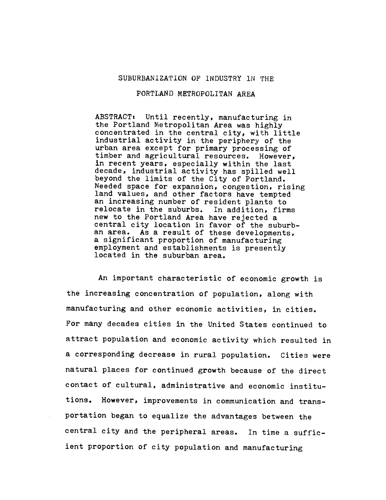### SUBURBANIZATION OF INDUSTRY IN THE

#### PORTLAND METROPOLITAN AREA

ABSTRACT: Until recently, manufacturing in the Portland Metropolitan Area was highly concentrated in the central city, with little industrial activity in the periphery of the urban area except for primary processing of timber and agricultural resources. However, in recent years, especially within the last decade, industrial activity has spilled well beyond the limits of the City of Portland. Needed space for expansion, congestion, rising land values, and other factors have tempted an increasing number of resident plants to relocate in the suburbs. In addition, firms new to the Portland Area have rejected a central city location in favor of the suburban area. As a result of these developments, a significant proportion of manufacturing employment and establishments is presently located in the suburban area.

An important characteristic of economic growth is the increasing concentration of population, along with manufacturing and other economic activities, in cities. For many decades cities in the United States continued to attract population and economic activity which resulted in a corresponding decrease in rural population. Cities were natural places for continued growth because of the direct contact of cultural, administrative and economic institutions. However, improvements in communication and transportation began to equalize the advantages between the central city and the peripheral areas. In time a sufficient proportion of city population and manufacturing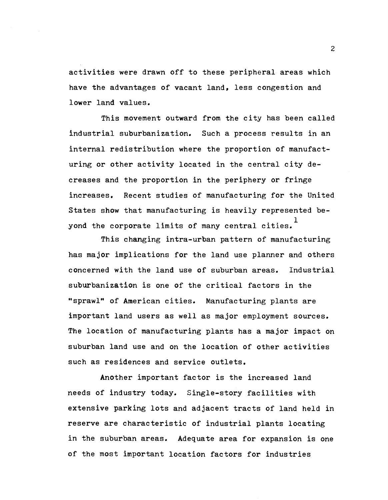activities were drawn off to these peripheral areas which have the advantages of vacant land, less congestion and lower land values.

This movement outward from the city has been called industrial suburbanization. Such a process results in an internal redistribution where the proportion of manufacturing or other activity located in the central city decreases and the proportion in the periphery or fringe increases. Recent studies of manufacturing for the United States show that manufacturing is heavily represented beyond the corporate limits of many central cities.  $^\perp$ 

This changing intra-urban pattern of manufacturing has major implications for the land use planner and others concerned with the land use of suburban areas. Industrial suburbanization is one of the critical factors in the "sprawl" of American cities. Manufacturing plants are important land users as well as major employment sources. The location of manufacturing plants has a major impact on suburban land use and on the location of other activities such as residences and service outlets.

Another important factor is the increased land needs of industry today. Single-story facilities with extensive parking lots and adjacent tracts of land held in reserve are characteristic of industrial plants locating in the suburban areas. Adequate area for expansion is one of the most important location factors for industries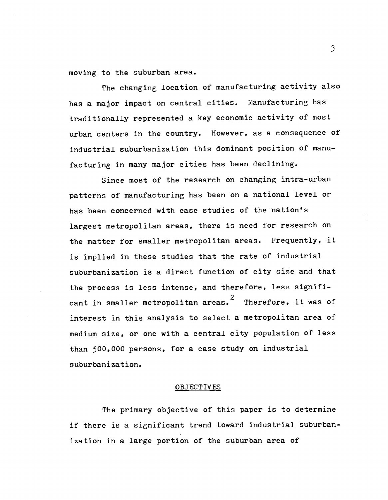moving to the suburban area.

The changing location of manufacturing activity also has a major impact on central cities. Manufacturing has traditionally represented a key economic activity of most urban centers in the country. However, as a consequence of industrial suburbanization this dominant position of manufacturing in many major cities has been declining.

Since most of the research on changing intra-urban patterns of manufacturing has been on a national level or has been concerned with case studies of the nation's largest metropolitan areas, there is need for research on the matter for smaller metropolitan areas. Frequently, it is implied in these studies that the rate of industrial suburbanization is a direct function of city size and that the process is less intense, and therefore, less significant in smaller metropolitan areas.<sup>2</sup> Therefore, it was of interest in this analysis to select a metropolitan area of medium size, or one with a central city population of less than 500,000 persons, for a case study on industrial suburbanization.

#### OBJECTIVES

The primary objective of this paper is to determine if there is a significant trend toward industrial suburbanization in a large portion of the suburban area of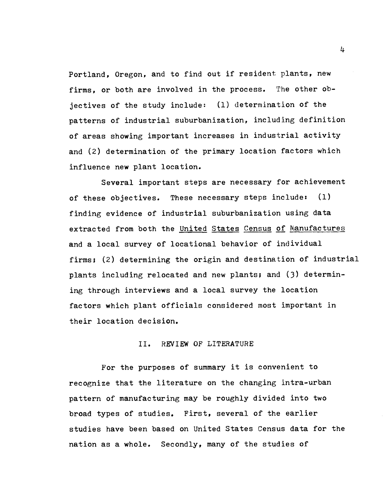Portland, Oregon, and to find out if resident plants, new firms, or both are involved in the process. The other objectives of the study include: (1) determination of the patterns of industrial suburbanization, including definition of areas showing important increases in industrial activity and (2) determination of the primary location factors which influence new plant location.

Several important steps are necessary for achievement of these objectives. These necessary steps include: (1) finding evidence of industrial suburbanization using data extracted from both the United States Census of Manufactures and a local survey of locational behavior of individual firms; (2) determining the origin and destination of industrial plants including relocated and new plants; and (3) determining through interviews and a local survey the location factors which plant officials considered most important in their location decision.

### II. REVIEW OF LITERATURE

For the purposes of summary it is convenient to recognize that the literature on the changing intra-urban pattern of manufacturing may be roughly divided into two broad types of studies. First, several of the earlier studies have been based on United States Census data for the nation as a whole. Secondly, many of the studies of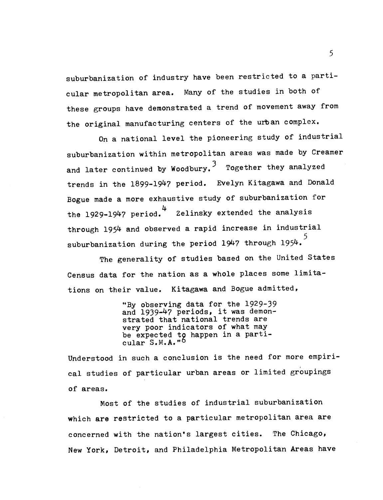suburbanization of industry have been restricted to a particular metropolitan area. Many of the studies in both of these groups have demonstrated a trend of movement away from the original manufacturing centers of the urban complex.

On a national level the pioneering study of industrial suburbanization within metropolitan areas was made by Creamer and later continued by Woodbury.<sup>3</sup> Together they analyzed trends in the 1899-1947 period. Evelyn Kitagawa and Donald Bogue made a more exhaustive study of suburbanization for the 1929-1947 period. 4 Zelinsky extended the analysis through 1954 and observed a rapid increase in industrial suburbanization during the period 1947 through 1954.

The generality of studies based on the United States Census data for the nation as a whole places some limitations on their value. Kitagawa and Bogue admitted,

> "By observing data for the 1929-39 and 1939-47 periods, it was demonstrated that national trends are very poor indicators of what may be expected to happen in a particular S.M.A."<sup>6</sup>

Understood in such a conclusion is the need for more empirical studies of particular urban areas or limited groupings of areas.

Most of the studies of industrial suburbanization which are restricted to a particular metropolitan area are concerned with the nation's largest cities. The Chicago, New York, Detroit, and Philadelphia Metropolitan Areas have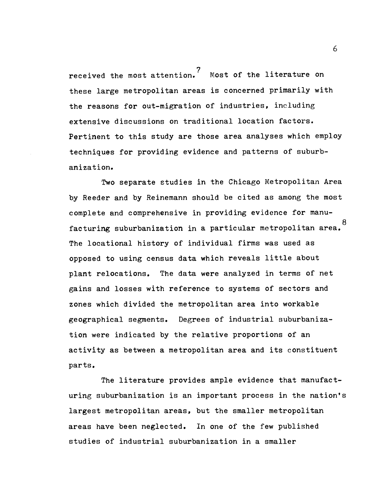received the most attention.<sup>7</sup> Most of the literature on these large metropolitan areas is concerned primarily with the reasons for out-migration of industries, including extensive discussions on traditional location factors. Pertinent to this study are those area analyses which employ techniques for providing evidence and patterns of suburbanization.

Two separate studies in the Chicago Metropolitan Area by Reeder and by Reinemann should be cited as among the most complete and comprehensive in providing evidence for manu-8 facturing suburbanization in a particular metropolitan area. The locational history of individual firms was used as opposed to using census data which reveals little about plant relocations. The data were analyzed in terms of net gains and losses with reference to systems of sectors and zones which divided the metropolitan area into workable geographical segments. Degrees of industrial suburbanization were indicated by the relative proportions of an activity as between a metropolitan area and its constituent parts.

The literature provides ample evidence that manufacturing suburbanization is an important process in the nation's largest metropolitan areas, but the smaller metropolitan areas have been neglected. In one of the few published studies of industrial suburbanization in a smaller

 $\epsilon$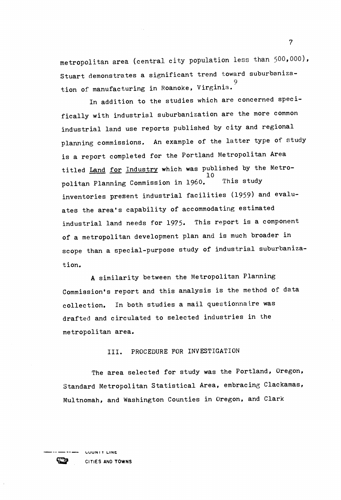metropolitan area (central city population less than 500,000), Stuart demonstrates a significant trend toward suburbaniza-9 tion of manufacturing in Roanoke, Virginia.

In addition to the studies which are concerned specifically with industrial suburbanization are the more common industrial land use reports published by city and regional planning commissions. An example of the latter type of study is a report completed for the Portland Metropolitan Area titled <u>Land for Industry</u> which was published by the Metro-<br>10 This study politan Planning Commission in 1960. inventories present industrial facilities (1959) and evaluates the area's capability of accommodating estimated industrial land needs for 1975. This report is a component of a metropolitan development plan and is much broader in scope than a special-purpose study of industrial suburbanization.

A similarity between the Metropolitan Planning Commission's report and this analysis is the method of data collection. In both studies a mail questionnaire was drafted and circulated to selected industries in the metropolitan area.

III. PROCEDURE FOR INVESTIGATION

The area selected for study was the Portland, Oregon, Standard Metropolitan Statistical Area, embracing Clackamas, Multnomah, and Washington Counties in Oregon, and Clark



CITIES AND TOWNS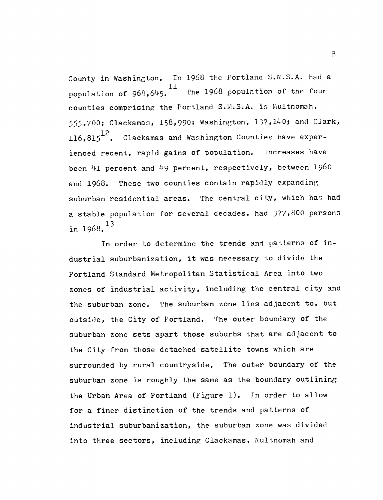County in Washington. In 1968 the Portland S.M.S.A. had a population of 968,645. The 1968 population of the four population of  $968,645.$  The 1968 population of the four counties comprising the Portland S.M.S.A. is Multnomah, 555,700; Clackamas, 158,990; Washington, 137,140; and Clark, 116,815<sup>12</sup>. Clackamas and Washington Counties have experienced recent, rapid gains of population. Increases have been 41 percent and 49 percent, respectively, between  $1960$ and 1968. These two counties contain rapidly expanding suburban residential areas. The central city, which has had a stable population for several decades, had 377,800 persons 13 in 1968.

In order to determine the trends and patterns of industrial suburbanization, it was necessary to divide the Portland Standard Netropolitan Statistical Area into two zones of industrial activity, including the central city and the suburban zone. The suburban zone lies adjacent to, but outside, the City of Portland. The outer boundary of the suburban zone sets apart those suburbs that are adjacent to the City from those detached satellite towns which are surrounded by rural countryside. The outer boundary of the suburban zone is roughly the same as the boundary outlining the Urban Area of Portland (Figure 1). In order to allow for a finer distinction of the trends and patterns of industrial suburbanization, the suburban zone was divided into three sectors, including Clackamas, Wultnomah and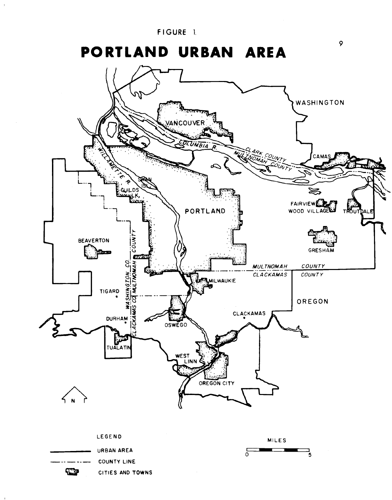FIGURE 1.

# PORTLAND URBAN AREA

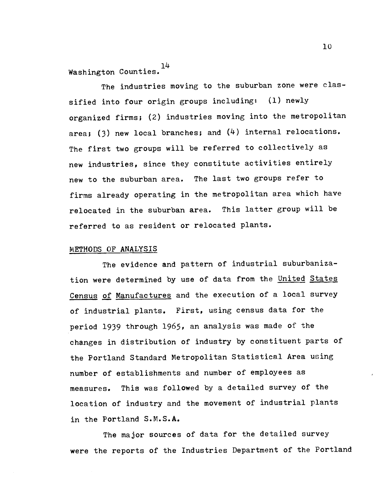iLi. Washington Counties.

The industries moving to the suburban zone were classified into four origin groups including: (1) newly organized firms; (2) industries moving into the metropolitan area; (3) new local branches; and  $(4)$  internal relocations. The first two groups will be referred to collectively as new industries, since they constitute activities entirely new to the suburban area. The last two groups refer to firms already operating in the metropolitan area which have relocated in the suburban area. This latter group will be referred to as resident or relocated plants.

### METHODS OF ANALYSIS

The evidence and pattern of industrial suburbanization were determined by use of data from the United States Census of Manufactures and the execution of a local survey of industrial plants. First, using census data for the period 1939 through 1965, an analysis was made of the changes in distribution of industry by constituent parts of the Portland Standard Metropolitan Statistical Area using number of establishments and number of employees as measures. This was followed by a detailed survey of the location of industry and the movement of industrial plants in the Portland S.M.S.A.

The major sources of data for the detailed survey were the reports of the Industries Department of the Portland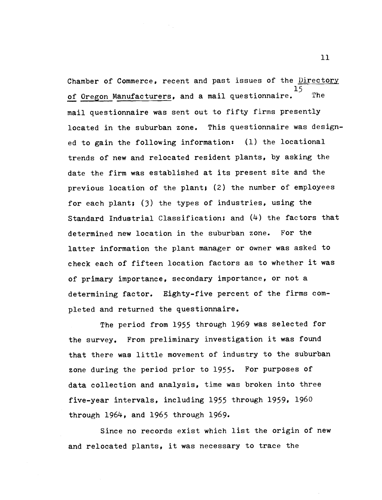Chamber of Commerce, recent and past issues of the Directory  $15 \quad \ldots$ of Oregon Manufacturers, and a mail questionnaire. The mail questionnaire was sent out to fifty firms presently located in the suburban zone. This questionnaire was designed to gain the following information: (1) the locational trends of new and relocated resident plants, by asking the date the firm was established at its present site and the previous location of the plant; (2) the number of employees for each plant; (3) the types of industries, using the Standard Industrial Classification; and (4) the factors that determined new location in the suburban zone. For the latter information the plant manager or owner was asked to check each of fifteen location factors as to whether it was of primary importance, secondary importance, or not a determining factor. Eighty-five percent of the firms completed and returned the questionnaire.

The period from 1955 through 1969 was selected for the survey. From preliminary investigation it was found that there was little movement of industry to the suburban zone during the period prior to 1955. For purposes of data collection and analysis, time was broken into three five-year intervals, including 1955 through 1959, 1960 through 1964, and 1965 through 1969.

Since no records exist which list the origin of new and relocated plants, it was necessary to trace the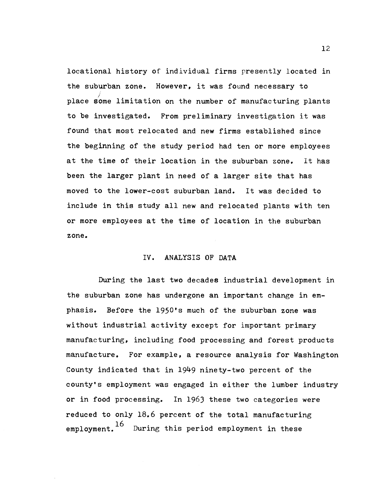locational history of individual firms presently located in the suburban zone. However, it was found necessary to place some limitation on the number of manufacturing plants to be investigated. From preliminary investigation it was found that most relocated and new firms established since the beginning of the study period had ten or more employees at the time of their location in the suburban zone, It has been the larger plant in need of a larger site that has moved to the lower-cost suburban land. It was decided to include in this study all new and relocated plants with ten or more employees at the time of location in the suburban zone.

### IV. ANALYSIS OF DATA

During the last two decades industrial development in the suburban zone has undergone an important change in emphasis. Before the 1950's much of the suburban zone was without industrial activity except for important primary manufacturing, including food processing and forest products manufacture, For example, a resource analysis for Washington County indicated that in 1949 ninety-two percent of the county's employment was engaged in either the lumber industry or in food processing. In 1963 these two categories were reduced to only 18.6 percent of the total manufacturing employment.<sup>10</sup> During this period employment in these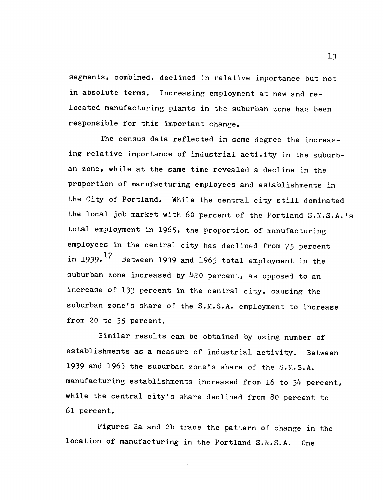segments, combined, declined in relative importance but not in absolute terms. Increasing employment at new and relocated manufacturing plants in the suburban zone has been responsible for this important change.

The census data reflected in some degree the increasing relative importance of industrial activity in the suburban zone, while at the same time revealed a decline in the proportion of manufacturing employees and establishments in the City of Portland. While the central city still dominated the local job market with 60 percent of the Portland S.M.S.A.'s total employment in 1965, the proportion of manufacturing employees in the central city has declined from 75 percent in 1939. $17$  Between 1939 and 1965 total employment in the suburban zone increased by 420 percent, as opposed to an increase of 133 percent in the central city, causing the suburban zone's share of the S.M.S.A. employment to increase from 20 to 35 percent.

Similar results can be obtained by using number of establishments as a measure of industrial activity. Between 1939 and 1963 the suburban zone's share of the S.M.S.A. manufacturing establishments increased from 16 to 34 percent, while the central city's share declined from 80 percent to 61 percent.

Figures 2a and 2b trace the pattern of change in the location of manufacturing in the Portland S.M.S.A. One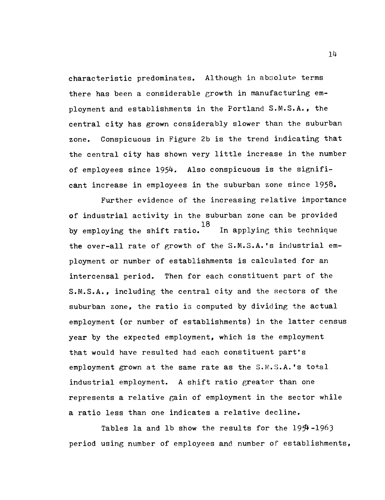characteristic predominates. Although in absolute terms there has been a considerable growth in manufacturing employment and establishments in the Portland S.M.S.A., the central city has grown considerably slower than the suburban zone. Conspicuous in Figure 2b is the trend indicating that the central city has shown very little increase in the number of employees since 1954. Also conspicuous is the significant increase in employees in the suburban zone since 1958.

Further evidence of the increasing relative importance of industrial activity in the suburban zone can be provided In applying this technique by employing the shift ratio.<sup>18</sup> the over-all rate of growth of the S.M.S.A.'s industrial employment or number of establishments is calculated for an intercensal period. Then for each constituent part of the S.M.S.A., including the central city and the sectors of the suburban zone, the ratio is computed by dividing the actual employment (or number of establishments) in the latter census year by the expected employment, which is the employment that would have resulted had each constituent part's employment grown at the same rate as the S.M.3.A.'s total industrial employment. A shift ratio greater than one represents a relative gain of employment in the sector while a ratio less than one indicates a relative decline.

Tables la and lb show the results for the  $19\frac{4}{1963}$ period using number of employees and number of establishments,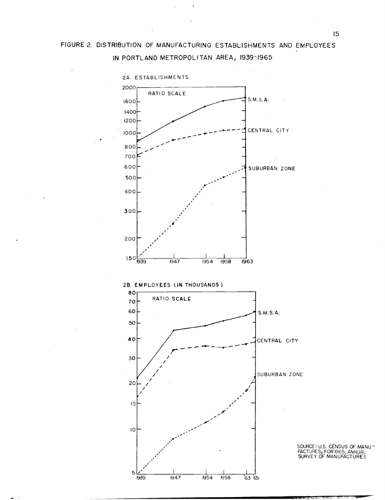### FIGURE 2. DISTRIBUTION OF MANUFACTURING ESTABLISHMENTS AND EMPLOYEES IN PORTLAND METROPOLITAN AREA, 1939-1965



SOURCE: U.S. CENSUS OF MANU-FACTURES, FOR 1965 ANNUAL SURVEY OF MANUF4CTURES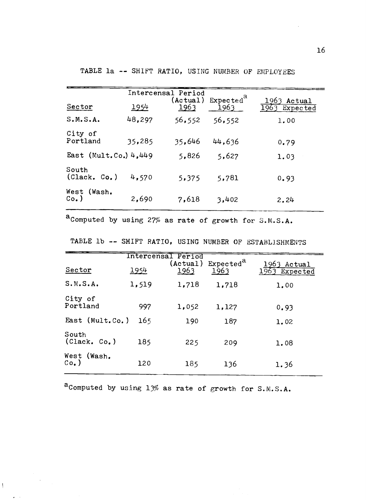|                         |        | Intercensal Period |                                                 |                                   |
|-------------------------|--------|--------------------|-------------------------------------------------|-----------------------------------|
| Sector                  | 1954   | 1963               | $(\text{Actual})$ Expected <sup>a</sup><br>1963 | 1963<br>Actual<br>$1963$ Expected |
| S.M.S.A.                | 48,297 | 56,552             | 56,552                                          | 1,00                              |
| City of<br>Portland     | 35,285 | 35,646             | 44,636                                          | 0.79                              |
| East (Mult.Co.) $4,449$ |        | 5,826              | 5,627                                           | 1.03                              |
| South<br>(Clack. Co. )  | 4,570  | 5.375              | 5,781                                           | 0.93                              |
| West (Wash.<br>$Co.$ )  | 2,690  | 7,618              | 3,402                                           | 2.24                              |

TABLE la -- SHIFT RATIO, USING NUMBER OF EMPLOYEES

aComputed by using 27% as rate of growth for S.M.S.A.

| Sector                 | 1954  | (Actual)<br>1963 | 1963               | 1963<br>Actual<br>Expected |
|------------------------|-------|------------------|--------------------|----------------------------|
| S.M.S.A.               | 1,519 | 1,718            | 1,718              | 1.00                       |
| City of<br>Portland    | 997   | 1,052            | 1,127              | 0.93                       |
|                        | 165   | 190              | 187                | 1,02                       |
| South<br>(Clack, Co. ) | 185   | 225              | 209                | 1.08                       |
| West (Wash.            | 120   | 185              | 136                | 1.36                       |
|                        |       | East (Mult.Co.)  | Intercensal Period | Expected <sup>a</sup>      |

TABLE 1b -- SHIFT RATIO, USING NUMBER OF ESTABLISHMENTS

acomputed by using 13% as rate of growth for S.M.S.A.

 $\bar{1}$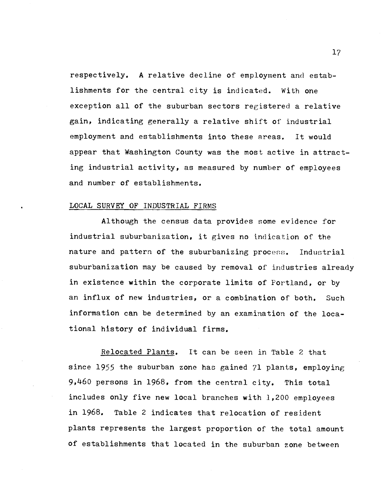respectively. A relative decline of employment and establishments for the central city is indicated. With one exception all of the suburban sectors registered a relative gain, indicating generally a relative shift of industrial employment and establishments into these areas. It would appear that Washington County was the most active in attracting industrial activity, as measured by number of employees and number of establishments.

### LOCAL SURVEY OF INDUSTRIAL FIRMS

Although the census data provides some evidence for industrial suburbanization, it gives no indication of the nature and pattern of the suburbanizing process. Industrial suburbanization may be caused by removal of industries already in existence within the corporate limits of Portland, or by an influx of new industries, or a combination of both. Such information can be determined by an examination of the locational history of individual firms.

Relocated Plants. It can be seen in Table 2 that since 1955 the suburban zone has gained 71 plants, employing  $9,460$  persons in 1968, from the central city. This total includes only five new local branches with 1,200 employees in 1968. Table 2 indicates that relocation of resident plants represents the largest proportion of the total amount of establishments that located in the suburban zone between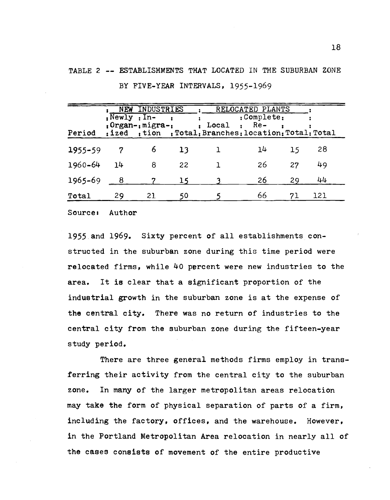| Period      |    | NEW INDUSTRIES<br>$: Newly : In-$<br>$; Organ-, migra-,$ |    | $: Local : Re-$ | RELOCATED PLANTS<br>:Complete:<br>: ized ; tion ; Total; Branches: location: Total: Total |    |     |
|-------------|----|----------------------------------------------------------|----|-----------------|-------------------------------------------------------------------------------------------|----|-----|
| $1955 - 59$ | 7  | 6                                                        | 13 |                 | 14                                                                                        | 15 | 28  |
| 1960-64     | 14 | 8                                                        | 22 |                 | 26                                                                                        | 27 | 49  |
| 1965-69     |    |                                                          |    |                 | 26                                                                                        | 29 | 44  |
| Total       | 29 | 21                                                       | 50 |                 | 66                                                                                        | 71 | 121 |

TABLE 2 -- ESTABLISHMENTS THAT LOCATED IN THE SUBURBAN ZONE BY FIVE-YEAR INTERVALS, 1955-1969

Source: Author

1955 and 1969. Sixty percent of all establishments constructed in the suburban zone during this time period were relocated firms, while 40 percent were new industries to the area. It is clear that a significant proportion of the industrial growth in the suburban zone is at the expense of the central city. There was no return of industries to the central city from the suburban zone during the fifteen-year study period.

There are three general methods firms employ in transferring their activity from the central city to the suburban zone. In many of the larger metropolitan areas relocation may take the form of physical separation of parts of a firm, including the factory, offices, and the warehouse. However, in the Portland Metropolitan Area relocation in nearly all of the cases consists of movement of the entire productive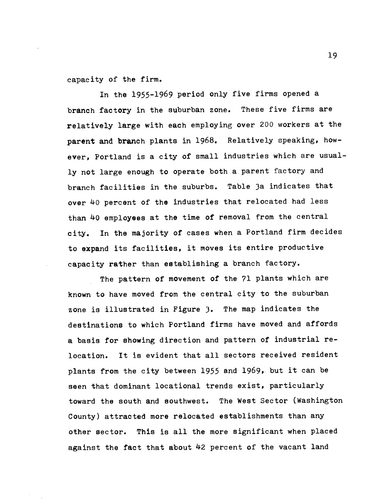capacity of the firm.

In the 1955-1969 period only five firms opened a branch factory in the suburban zone. These five firms are relatively large with each employing over 200 workers at the parent and branch plants in 1968. Relatively speaking, however, Portland is a city of small industries which are usually not large enough to operate both a parent factory and branch facilities in the suburbs. Table 3a indicates that over 40 percent of the industries that relocated had less than 40 employees at the time of removal from the central city. In the majority of cases when a Portland firm decides to expand its facilities, it moves its entire productive capacity rather than establishing a branch factory.

The pattern of movement of the 71 plants which are known to have moved from the central city to the suburban zone is illustrated in Figure 3. The map indicates the destinations to which Portland firms have moved and affords a basis for showing direction and pattern of industrial relocation. It is evident that all sectors received resident plants from the city between 1955 and 1969,. but it can be seen that dominant locational trends exist, particularly toward the south and southwest. The West Sector (Washington County) attracted more relocated establishments than any other sector. This is all the more significant when placed against the fact that about 42 percent of the vacant land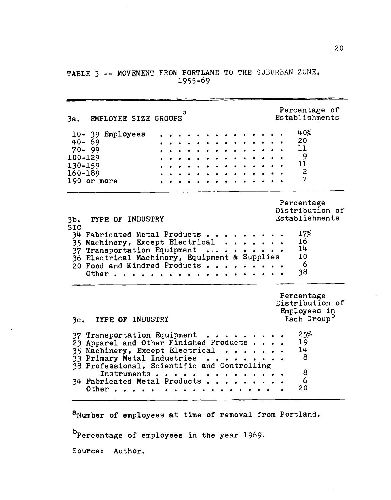### TABLE 3 -- MOVEMENT FROM PORTLAND TO THE SUBURBAN ZONE, 1955-69

a 3a. EMPLOYEE SIZE GROUPS Percentage of Establishments 10- 39 Employees . . . . . . . . . . . . . . 40%<br>40- 69 . . . . . . . . . . . . . . 20 40–69 . . . . . . . . . . . . . . 20  $70 - 99$  . . . . . . . . . . . . . 11  $100 - 129$  . . . . . . . . . . . . . . 9  $130-159$  . . . . . . . . . . . . . .  $11$  $160 - 189$  . . . . . . . . . . . . . . 2 190 or more **. . . . . . . . . . . . .** 7 Percentage Distribution of<br>Establishments 3b. TYPE OF INDUSTRY<br>SIC SIC  $34$  Fabricated Metal Products . . . . . . . .  $17\%$  $\frac{35}{35}$  Machinery, Except Electrical . . . . . . 16  $\overline{37}$  Transportation Equipment ... . . . . . . 14<br>36 Electrical Machinery, Equipment & Supplies 10  $\overline{36}$  Electrical Machinery, Equipment & Supplies 10<br>20 Eood and Kindred Products . . . . . . . . . 6 20 Food and Kindred Products . . . . . . . . . 6 Other  $\cdots$   $\cdots$   $\cdots$ Percentage Distribution of Employees in<br>Each Group 3c. TYPE OF INDUSTRY 37 Transportation Equipment . . . . . . . . 25%<br>23 Annarel and Other Finished Products . . . . 19  $\overline{2}3$  Apparel and Other Finished Products . . . . 19<br>35 Machinery, Except Electrical . . . . . . . 14  $35$  Machinery, Except Electrical . . . . . .  $14$ <br>33 Primary Metal Industries . . . . . . . . . 8  $33$  Primary Metal Industries . . . . . 38 Professional, Scientific and Controlling<br>
Instruments and controlling<br>
3 Instruments . . . . . . . . . . . . . . 8<br>ricated Metal Products . . . . . . . . . . 6 34 Fabricated Metal Products . <sup>a</sup> <sup>a</sup> . <sup>a</sup> <sup>a</sup> 6 Other . . . . .  $\blacksquare$ 

a<sub>Number</sub> of employees at time of removal from Portland.

b<sub>percentage</sub> of employees in the year 1969.

Sourcei Author.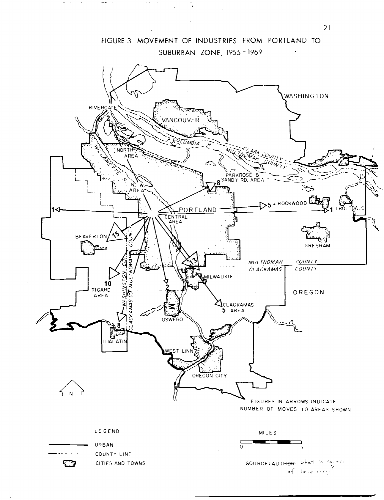

 $\mathbf{t}$ 

الحاجشة الجاذبان والاوجاد والما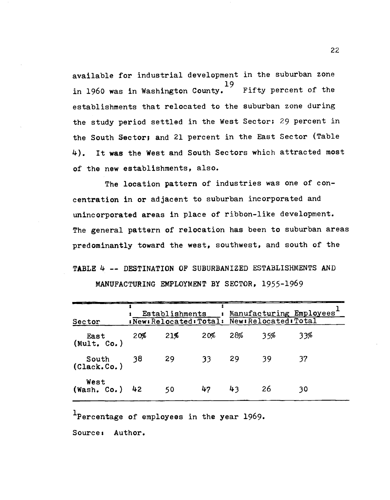available for industrial development in the suburban zone 19<br>Fifty percent of the in 1960 was in Washington County. establishments that relocated to the suburban zone during the study period settled in the West Sector; 29 percent in the South Sector; and 21 percent in the East Sector (Table 4). It was the West and South Sectors which attracted most of the new establishments, also.

The location pattern of industries was one of concentration in or adjacent to suburban incorporated and unincorporated areas in place of ribbon-like development. The general pattern of relocation has been to suburban areas predominantly toward the west, southwest, and south of the

TABLE 4 -- DESTINATION OF SUBURBANIZED ESTABLISHMENTS AND MANUFACTURING EMPLOYMENT BY SECTOR, 1955-1969

| Sector                   |     | Establishments | $\mathbf{r} = \mathbf{r}$<br>:New:Relocated: Total: New:Relocated: Total |     |      | Manufacturing Employees <sup>+</sup> |
|--------------------------|-----|----------------|--------------------------------------------------------------------------|-----|------|--------------------------------------|
| East<br>(Mult. Co.)      | 20% | 21%            | 20%                                                                      | 28% | 35%  | 33%                                  |
| South 38<br>(Clack.Co.)  |     | -29            | 33                                                                       | -29 | -39  |                                      |
| West<br>$(Wash, Co.)$ 42 |     | 50             | 47                                                                       | 43  | - 26 | 30                                   |

<sup>1</sup>Percentage of employees in the year 1969.

Source: Author.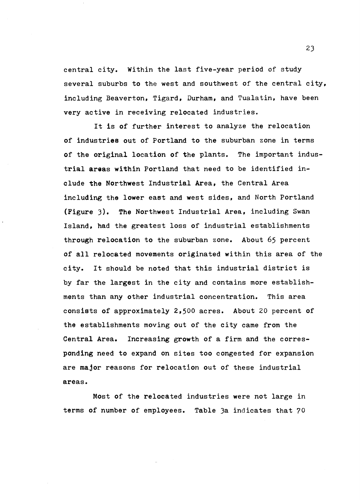central city. Within the last five-year period of study several suburbs to the west and southwest of the central city, including Beaverton, Tigard, Durham, and Tualatin, have been very active in receiving relocated industries.

It is of further interest to analyze the relocation of industries out of Portland to the suburban zone in terms of the original location of the plants. The important industrial areas within Portland that need to be identified include the Northwest Industrial Area, the Central Area including the lower east and west sides, and North Portland (Figure 3). The Northwest Industrial Area, including Swan Island, had the greatest loss of industrial establishments through relocation to the suburban zone. About 65 percent of all relocated movements originated within this area of the city. It should be noted that this industrial district is by far the largest in the city and contains more establishments than any other industrial concentration. This area consists of approximately 2,500 acres. About 20 percent of the establishments moving out of the city came from the Central Area. Increasing growth of a firm and the corresponding need to expand on sites too congested for expansion are major reasons for relocation out of these industrial areas.

Most of the relocated industries were not large in terms of number of employees. Table 3a indicates that 70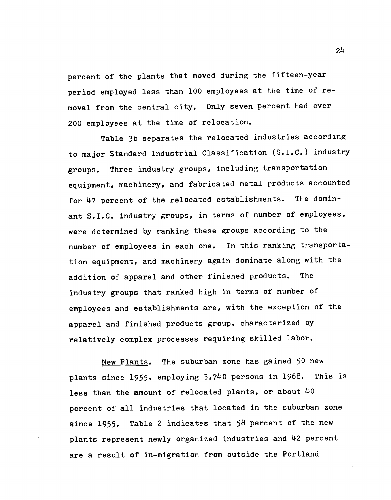percent of the plants that moved during the fifteen-year period employed less than 100 employees at the time of removal from the central city. Only seven percent had over 200 employees at the time of relocation.

Table 3b separates the relocated industries according to major Standard Industrial Classification (S.i.C.) industry groups. Three industry groups, including transportation equipment, machinery, and fabricated metal products accounted for  $47$  percent of the relocated establishments. The dominant S.I.C. industry groups, in terms of number of employees, were determined by ranking these groups according to the number of employees in each one. In this ranking transportation equipment, and machinery again dominate along with the addition of apparel and other finished products. The industry groups that ranked high in terms of number of employees and establishments are, with the exception of the apparel and finished products group, characterized by relatively complex processes requiring skilled labor.

New Plants. The suburban zone has gained 50 new plants since 1955, employing 3,740 persons in 1968. This is less than the amount of relocated plants, or about 40 percent of all industries that located in the suburban zone since 1955. Table 2 indicates that 58 percent of the new plants represent newly organized industries and 42 percent are a result of in-migration from outside the Portland

2Lk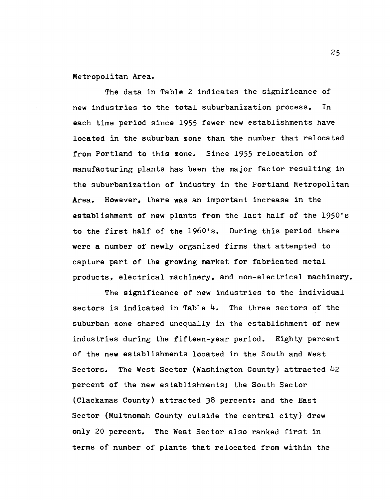Metropolitan Area.

The data in Table 2 indicates the significance of new industries to the total suburbanization process. In each time period since 1955 fewer new establishments have located in the suburban zone than the number that relocated from Portland to this zone. Since 1955 relocation of manufacturing plants has been the major factor resulting in the suburbanization of industry in the Portland Metropolitan Area. However, there was an important increase in the establishment of new plants from the last half of the 1950's to the first half of the 1960's. During this period there were a number of newly organized firms that attempted to capture part of the growing market for fabricated metal products, electrical machinery, and non-electrical machinery.

The significance of new industries to the individual sectors is indicated in Table  $4.$  The three sectors of the suburban zone shared unequally in the establishment of new industries during the fifteen-year period. Eighty percent of the new establishments located in the South and West Sectors. The West Sector (Washington County) attracted 42 percent of the new establishments; the South Sector (Clackamas County) attracted 38 percent; and the East Sector (Multnomah County outside the central city) drew only 20 percent. The West Sector also ranked first in terms of number of plants that relocated from within the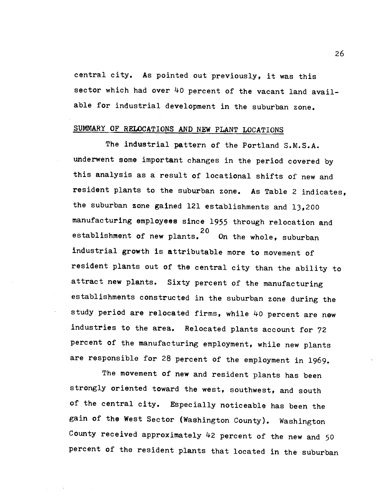central city. As pointed out previously, it was this sector which had over 40 percent of the vacant land available for industrial development in the suburban zone.

### SUMMARY OF RELOCATIONS AND NEW PLANT LOCATIONS

The industrial pattern of the Portland S.M.S.A. underwent some important changes in the period covered by this analysis as a result of locational shifts of new and resident plants to the suburban zone. As Table 2 indicates, the suburban zone gained 121 establishments and 13,200 manufacturing employees since 1955 through relocation and establishment of new plants.<sup>20</sup> On the whole, suburban industrial growth is attributable more to movement of resident plants out of the central city than the ability to attract new plants. Sixty percent of the manufacturing establishments constructed in the suburban zone during the study period are relocated firms, while 40 percent are new industries to the area. Relocated plants account for 72 percent of the manufacturing employment, while new plants are responsible for 28 percent of the employment in 1969.

The movement of new and resident plants has been strongly oriented toward the west, southwest, and south of the central city. Especially noticeable has been the gain of the West Sector (Washington County). Washington County received approximately 42 percent of the new and 50 percent of the resident plants that located in the suburban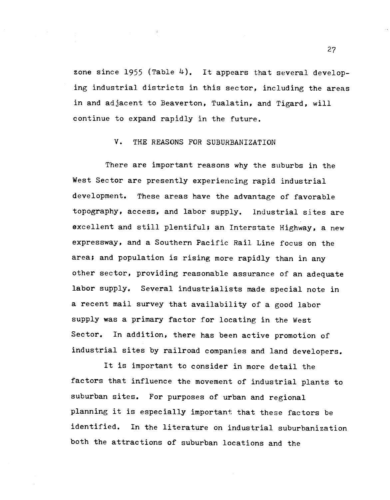zone since 1955 (Table  $4$ ). It appears that several developing industrial districts in this sector, including the areas in and adjacent to Beaverton, Tualatin, and Tigard, will continue to expand rapidly in the future.

### V. THE REASONS FOR SUBURBANIZATION

There are important reasons why the suburbs in the West Sector are presently experiencing rapid industrial development. These areas have the advantage of favorable topography, access, and labor supply. Industrial sites are excellent and still plentiful; an Interstate Highway, a new expressway, and a Southern Pacific Rail Line focus on the area; and population is rising more rapidly than in any other sector, providing reasonable assurance of an adequate labor supply. Several industrialists made special note in a recent mail survey that availability of a good labor supply was a primary factor for locating in the West Sector. In addition, there has been active promotion of industrial sites by railroad companies and land developers.

It is important to consider in more detail the factors that influence the movement of industrial plants to suburban sites. For purposes of urban and regional planning it is especially important that these factors be identified. In the literature on industrial suburbanization both the attractions of suburban locations and the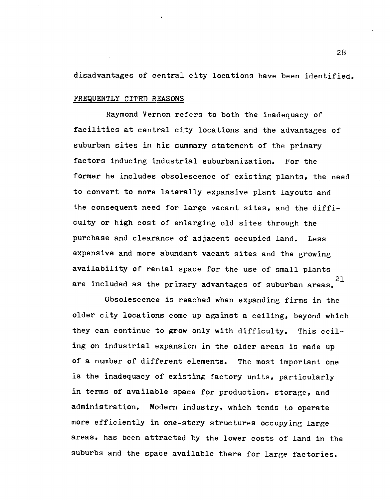disadvantages of central city locations have been identified.

### FREQUENTLY CITED REASONS

Raymond Vernon refers to both the inadequacy of facilities at central city locations and the advantages of suburban sites in his summary statement of the primary factors inducing industrial suburbanization. For the former he includes obsolescence of existing plants, the need to convert to more laterally expansive plant layouts and the consequent need for large vacant sites, and the difficulty or high cost of enlarging old sites through the purchase and clearance of adjacent occupied land. Less expensive and more abundant vacant sites and the growing availability of rental space for the use of small plants 21 are included as the primary advantages of suburban areas.

Obsolescence is reached when expanding firms in the older city locations come up against a ceiling, beyond which they can continue to grow only with difficulty. This ceiling on industrial expansion in the older areas is made up of a number of different elements. The most important one is the inadequacy of existing factory units, particularly in terms of available space for production, storage, and administration. Modern industry, which tends to operate more efficiently in one-story structures occupying large areas, has been attracted by the lower costs of land in the suburbs and the space available there for large factories.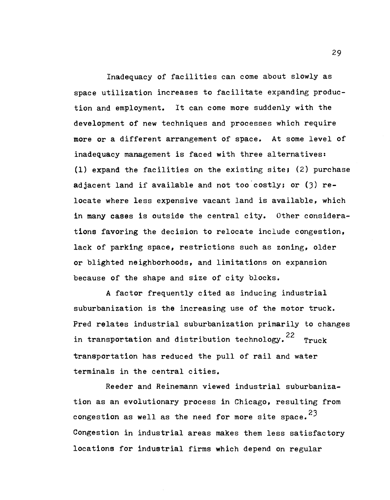Inadequacy of facilities can come about slowly as space utilization increases to facilitate expanding production and employment. It can come more suddenly with the development of new techniques and processes which require more or a different arrangement of space. At some level of inadequacy management is faced with three alternatives: (1) expand the facilities on the existing site; (2) purchase adjacent land if available and not too costly; or  $(3)$  relocate where less expensive vacant land is available, which in many cases is outside the central city. Other considerations favoring the decision to relocate include congestion, lack of parking space, restrictions such as zoning, older or blighted neighborhoods, and limitations on expansion because of the shape and size of city blocks.

A factor frequently cited as inducing industrial suburbanization is the increasing use of the motor truck. Pred relates industrial suburbanization primarily to changes in transportation and distribution technology.<sup>22</sup> Truck transportation has reduced the pull of rail and water terminals in the central cities.

Reeder and Reinemann viewed industrial suburbanization as an evolutionary process in Chicago, resulting from congestion as well as the need for more site space.  $23$ Congestion in industrial areas makes them less satisfactory locations for industrial firms which depend on regular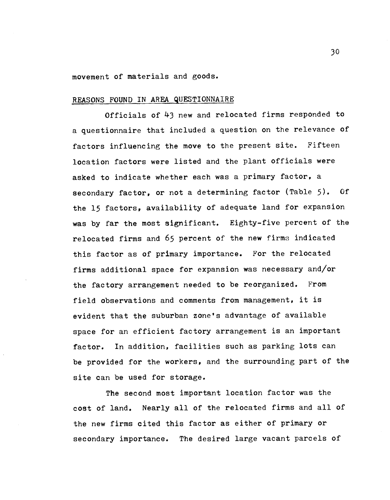movement of materials and goods.

#### REASONS FOUND IN AREA QUESTIONNAIRE

Officials of 43 new and relocated firms responded to a questionnaire that included a question on the relevance of factors influencing the move to the present site. Fifteen location factors were listed and the plant officials were asked to indicate whether each was a primary factor, a secondary factor, or not a determining factor (Table 5). Of the 15 factors, availability of adequate land for expansion was by far the most significant. Eighty-five percent of the relocated firms and 65 percent of the new firms indicated this factor as of primary importance. For the relocated firms additional space for expansion was necessary and/or the factory arrangement needed to be reorganized. From field observations and comments from management, it is evident that the suburban zone's advantage of available space for an efficient factory arrangement is an important factor. In addition, facilities such as parking lots can be provided for the workers, and the surrounding part of the site can be used for storage.

The second most important location factor was the cost of land. Nearly all of the relocated firms and all of the new firms cited this factor as either of primary or secondary importance. The desired large vacant parcels of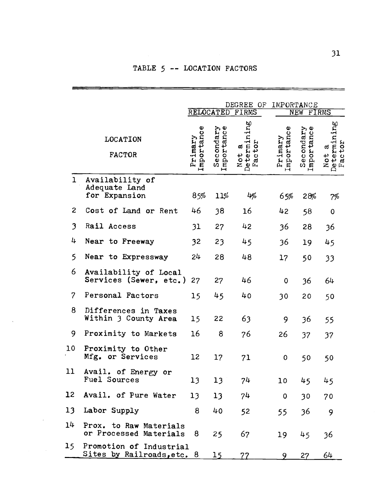### TABLE 5 -- LOCATION FACTORS

|               |                                                       | DEGREE OF<br>IMPORTANCE<br>RELOCATED FIRMS<br>NEW FIRMS |                         |                                |  |                            |                         |                                |
|---------------|-------------------------------------------------------|---------------------------------------------------------|-------------------------|--------------------------------|--|----------------------------|-------------------------|--------------------------------|
|               | LOCATION<br><b>FACTOR</b>                             | Importance<br>Primary                                   | Secondary<br>Importance | Not a<br>Determining<br>Factor |  | Φ<br>Primary<br>Importance | Secondary<br>Importance | Not a<br>Determining<br>Factor |
| $\mathbf 1$   | Availability of<br>Adequate Land<br>for Expansion     | 85%                                                     | 11%                     | 4%                             |  | 65%                        | 28%                     | 7%                             |
| $\mathbf{2}$  | Cost of Land or Rent                                  | 46                                                      | 38                      | 16                             |  | 42                         | 58                      | $\mathbf 0$                    |
| 3             | Rail Access                                           | 31                                                      | 27                      | 42                             |  | 36                         | 28                      | 36                             |
| 4             | Near to Freeway                                       | 32                                                      | 23                      | 45                             |  | 36                         | 19                      | 45                             |
| 5             | Near to Expressway                                    | 24                                                      | 28                      | 48                             |  | 17                         | 50                      | 33                             |
| 6             | Availability of Local<br>Services (Sewer, etc.)       | 27                                                      | 27                      | 46                             |  | $\mathbf 0$                | 36                      | 64                             |
| $\mathcal{P}$ | Personal Factors                                      | 15                                                      | 45                      | 40                             |  | 30                         | 20                      | 50                             |
| 8             | Differences in Taxes<br>Within 3 County Area          | 15                                                      | 22                      | 63                             |  | 9                          | 36                      | 55                             |
| 9             | Proximity to Markets                                  | 16                                                      | 8                       | 76                             |  | 26                         | 37                      | 37                             |
| 10            | Proximity to Other<br>Mfg. or Services                | 12                                                      | 17                      | 71                             |  | 0                          | 50                      | 50                             |
| 11            | Avail. of Energy or<br>Fuel Sources                   | 13                                                      | 13 <sup>°</sup>         | 74                             |  | 10                         | 45                      | 45                             |
| 12            | Avail. of Pure Water                                  | 13                                                      | 13                      | 74                             |  | $\mathbf 0$                | 30                      | 70                             |
| 13            | Labor Supply                                          | 8                                                       | 40                      | 52                             |  | 55                         | 36                      | 9                              |
| 14            | Prox. to Raw Materials<br>or Processed Materials      | 8                                                       | 25                      | 67                             |  | 19                         | 45                      | 36                             |
| 15 -          | Promotion of Industrial<br>Sites by Railroads, etc. 8 |                                                         | 15                      | 77                             |  |                            | 27                      | 64                             |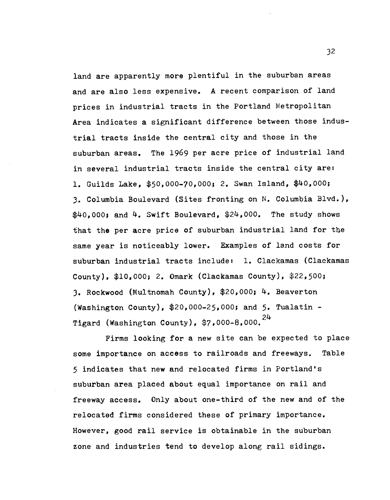land are apparently more plentiful in the suburban areas and are also less expensive. A recent comparison of land prices in industrial tracts in the Portland Metropolitan Area indicates a significant difference between those industrial tracts inside the central city and those in the suburban areas. The 1969 per acre price of industrial land in several industrial tracts inside the central city are: 1. Guilds Lake, \$50,000-70,000; 2. Swan Island, \$40,000; 3. Columbia Boulevard (Sites fronting on N. Columbia Blvd.),  $$40,000$ ; and  $4$ . Swift Boulevard,  $$24,000$ . The study shows that the per acre price of suburban industrial land for the same year is noticeably lower. Examples of land costs for suburban industrial tracts include: 1. Clackamas (Clackamas County), \$10,000; 2. Omark (Clackamas County), \$22,500; 3. Rockwood (Multnornah County), \$20,000; 4. Beaverton (Washington County), \$20,000-25,000; and 5. Tualatin - Tigard (Washington County),  $$7,000-8,000$ .  $24$ 

Firms looking for a new site can be expected to place some importance on access to railroads and freeways. Table 5 indicates that new and relocated firms in Portland's suburban area placed about equal importance on rail and freeway access. Only about one-third of the new and of the relocated firms considered these of primary importance. However, good rail service is obtainable in the suburban zone and industries tend to develop along rail sidings.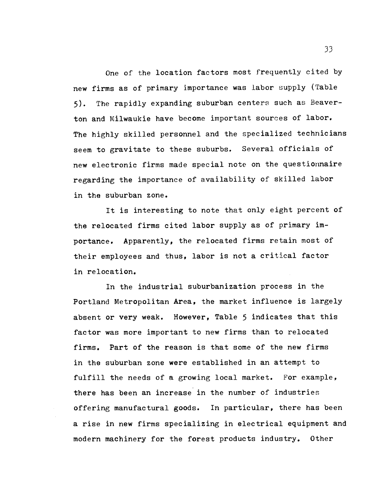One of the location factors most frequently cited by new firms as of primary importance was labor supply (Table 5). The rapidly expanding suburban centers such as Beaverton and Milwaukie have become important sources of labor. The highly skilled personnel and the specialized technicians seem to gravitate to these suburbs. Several officials of new electronic firms made special note on the questionnaire regarding the importance of availability of skilled labor in the suburban zone.

It is interesting to note that only eight percent of the relocated firms cited labor supply as of primary importance. Apparently, the relocated firms retain most of their employees and thus, labor is not a critical factor in relocation.

In the industrial suburbanization process in the Portland Metropolitan Area, the market influence is largely absent or very weak. However, Table 5 indicates that this factor was more important to new firms than to relocated firms. Part of the reason is that some of the new firms in the suburban zone were established in an attempt to fulfill the needs of a growing local market. For example, there has been an increase in the number of industries offering manufactural goods. In particular, there has been a rise in new firms specializing in electrical equipment and modern machinery for the forest products industry. Other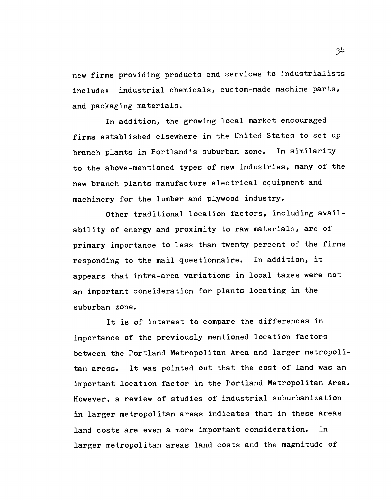new firms providing products and services to industrialists include: industrial chemicals, custom-made machine parts, and packaging materials.

In addition, the growing local market encouraged firms established elsewhere in the United States to set up branch plants in Portland's suburban zone. In similarity to the above-mentioned types of new industries, many of the new branch plants manufacture electrical equipment and machinery for the lumber and plywood industry.

Other traditional location factors, including availability of energy and proximity to raw materials, are of primary importance to less than twenty percent of the firms responding to the mail questionnaire. In addition, it appears that intra-area variations in local taxes were not an important consideration for plants locating in the suburban zone.

It is of interest to compare the differences in importance of the previously mentioned location factors between the Portland Metropolitan Area and larger metropolitan aress. It was pointed out that the cost of land was an important location factor in the Portland Metropolitan Area. However, a review of studies of industrial suburbanization in larger metropolitan areas indicates that in these areas land costs are even a more important consideration. In larger metropolitan areas land costs and the magnitude of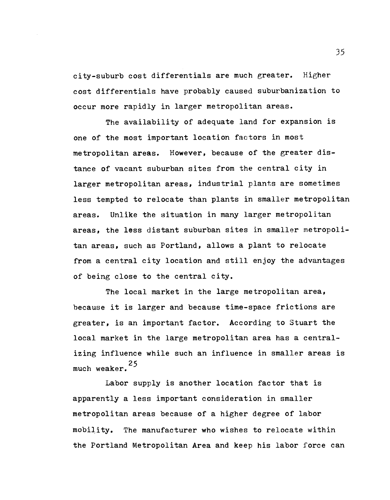city-suburb cost differentials are much greater. Higher cost differentials have probably caused suburbanization to occur more rapidly in larger metropolitan areas.

The availability of adequate land for expansion is one of the most important location factors in most metropolitan areas. However, because of the greater distance of vacant suburban sites from the central city in larger metropolitan areas, industrial plants are sometimes less tempted to relocate than plants in smaller metropolitan areas. Unlike the situation in many larger metropolitan areas, the less distant suburban sites in smaller metropolitan areas, such as Portland, allows a plant to relocate from a central city location and still enjoy the advantages of being close to the central city.

The local market in the large metropolitan area, because it is larger and because time-space frictions are greater, is an important factor. According to Stuart the local market in the large metropolitan area has a centralizing influence while such an influence in smaller areas is 25 much weaker.

Labor supply is another location factor that is apparently a less important consideration in smaller metropolitan areas because of a higher degree of labor mobility. The manufacturer who wishes to relocate within the Portland Metropolitan Area and keep his labor force can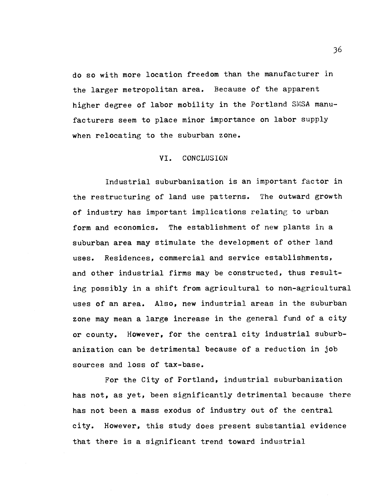do so with more location freedom than the manufacturer in the larger metropolitan area. Because of the apparent higher degree of labor mobility in the Portland SMSA manufacturers seem to place minor importance on labor supply when relocating to the suburban zone.

#### VI. CONCLUSION

Industrial suburbanization is an important factor in the restructuring of land use patterns. The outward growth of industry has important implications relating to urban form and economics. The establishment of new plants in a suburban area may stimulate the development of other land uses. Residences, commercial and service establishments, and other industrial firms may be constructed, thus resulting possibly in a shift from agricultural to non-agricultural uses of an area. Also, new industrial areas in the suburban zone may mean a large increase in the general fund of a city or county. However, for the central city industrial suburbanization can be detrimental because of a. reduction in job sources and loss of tax-base.

For the City of Portland, industrial suburbanization has not, as yet, been significantly detrimental because there has not been a mass exodus of industry out of the central city. However, this study does present substantial evidence that there is a significant trend toward industrial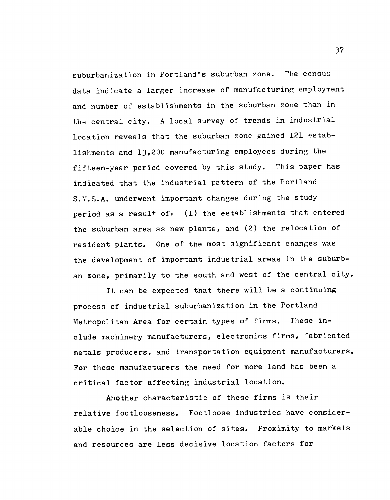suburbanization in Portland's suburban zone. The census data indicate a larger increase of manufacturing employment and number of establishments in the suburban zone than in the central city. A local survey of trends in industrial location reveals that the suburban zone gained 121 establishments and 13,200 manufacturing employees during the fifteen-year period covered by this study. This paper has indicated that the industrial pattern of the Portland S.M.S.A. underwent important changes during the study period as a result of: (1) the establishments that entered the suburban area as new plants, and (2) the relocation of resident plants. One of the most significant changes was the development of important industrial areas in the suburban zone, primarily to the south and west of the central city.

It can be expected that there will be a continuing process of industrial suburbanization in the Portland Metropolitan Area for certain types of firms. These include machinery manufacturers, electronics firms, fabricated metals producers, and transportation equipment manufacturers. For these manufacturers the need for more land has been a critical factor affecting industrial location.

Another characteristic of these firms is their relative footlooseness. Footloose industries have considerable choice in the selection of sites. Proximity to markets and resources are less decisive location factors for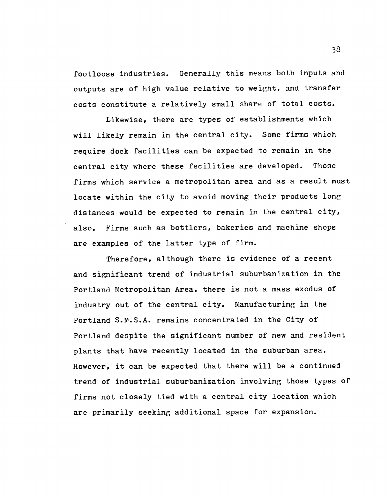footloose industries. Generally this means both inputs and outputs are of high value relative to weight, and transfer costs constitute a relatively small share of total costs.

Likewise, there are types of establishments which will likely remain in the central city. Some firms which require dock facilities can be expected to remain in the central city where these fscilities are developed. Those firms which service a metropolitan area and as a result must locate within the city to avoid moving their products long distances would be expected to remain in the central city, also. Firms such as bottlers, bakeries and machine shops are examples of the latter type of firm.

Therefore, although there is evidence of a recent and significant trend of industrial suburbanization in the Portland Metropolitan Area, there is not a mass exodus of industry out of the central city. Manufacturing in the Portland S.M.S.A. remains concentrated in the City of Portland despite the significant number of new and resident plants that have recently located in the suburban area. However, it can be expected that there will be a continued trend of industrial suburbanization involving those types of firms not closely tied with a central city location which are primarily seeking additional space. for expansion.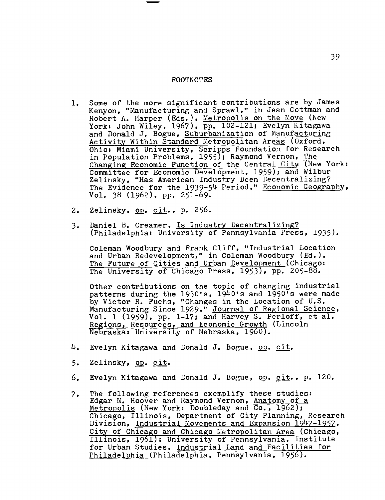#### FOOTNOTES

- 1. Some of the more significant contributions are by James Kenyon, "Manufacturing and Sprawl," in Jean Gottman and Robert A. Harper (Eds.), Metropolis on the Move (New York: John Wiley, 1967), pp. 102-121; Evelyn Kitagawa and Donald J. Bogue, Suburbanization of Manufacturing Activity Within Standard Metropolitan Areas (Oxford, Ohio: Miami University, Scripps Foundation for Research in Population Problems, 1955); Raymond Vernon, The Changing Economic Function of the Central City (New York: Committee for Economic Development, 1959); and Wilbur Zelinsky, "Has American Industry Been Decentralizing? The Evidence for the 1939-54 Period," Economic Geography, Vol. 38 (1962), pp. 251-69.
- 2. Zelinsky, op. cit., p. 256.
- 3. Daniel B. Creamer, Is Industry Decentralizing? (Philadelphia: University of Pennsylvania Press, 1935).

Coleman Woodbury and Frank Cliff, "Industrial Location and Urban Redevelopment," in Coleman Woodbury (Ed.), The Future of Cities and Urban Development (Chicago: The University of Chicago Press, 1953), pp. 205-88.

Other contributions on the topic of changing industrial patterns during the 1930's, 1940's and 1950's were made by Victor R. Fuchs, "Changes in the Location of U.S. Manufacturing Since 1929," Journal of Regional Science, Vol. 1 (1959), pp. 1-17; and Harvey S. Perloff, et al. Regions, Resources, and Economic Growth (Lincoln Nebraska: University of Nebraska, 1960).

- $4.$  Evelyn Kitagawa and Donald J. Bogue, op. cit.
- 5. Zelinsky, op. cit.
- 6. Evelyn Kitagawa and Donald J. Bogue, op. cit., p. 120.
- 7. The following references exemplify these studies: Edgar M. Hoover and Raymond Vernon, Anatomy of a Metropolis (New York: Doubleday and Co., 1962); Chicago, Illinois, Department of City Planning, Research Division, Industrial Movements and Expansion 1947-1957, City of Chicago and Chicago Metropolitan Area (Chicago, Illinois, 1961); University of Pennsylvania, Institute for Urban Studies, Industrial Land and Facilities for Philadelphia (Philadelphia, Pennsylvania, 1956).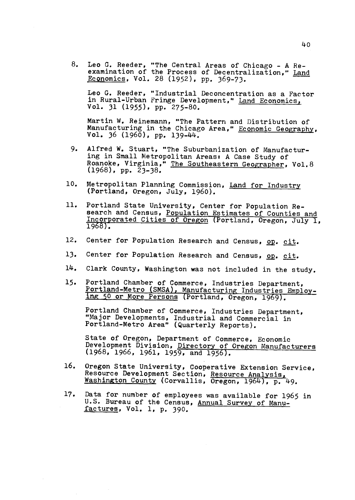8. Leo G. Reeder, "The Central Areas of Chicago - A Reexamination of the Process of Decentralization," Land Economics, Vol. 28 (1952), pp. 369-73.

Leo G. Reeder, "Industrial Deconcentration as a Factor in Rural-Urban Fringe Development," Land Economics, Vol. 31 (1955), pp. 275-80.

Martin W. Reinemann, "The Pattern and Distribution of Manufacturing in the Chicago Area," Economic Geography, Vol. 36  $(1960)$ , pp. 139-44.

- 9. Alfred W. Stuart, "The Suburbanization of Manufacturing in Small Metropolitan Areas: A Case Study of Roanoke, Virginia," The Southeastern Geographer, Vol.8 (1968), pp. 23-38.
- 10. Metropolitan Planning Commission, Land for Industry (Portland, Oregon, July, 1960).
- 11. Portland State University, Center for Population Research and Census, Population Estimates of Counties and Incorporated Cities of Oregon (Portland, Oregon, July 1, 1968).
- 12. Center for Population Research and Census, op. cit.
- 13. Center for Population Research and Census, op. cit.
- 14. Clark County, Washington was not included in the study.
- 15. Portland Chamber of Commerce, Industries Department, Portland-Metro (SMSA), Manufacturing Industries Employ ing 50 or More Persons (Portland, Oregon, 1969).

Portland Chamber of Commerce, Industries Department, "Major Developments, Industrial and Commercial in Portland-Metro Area" (Quarterly Reports).

State of Oregon, Department of Commerce, Economic Development Division, Directory of Oregon Manufacturers (1968, 1966, 1961, 1959, and 1956).

- 16. Oregon State University, Cooperative Extension Service, Resource Development Section, Resource Analysis Washington County (Corvallis, Oregon, 1964), p. 49.
- 17. Data for number of employees was available for 1965 in U.S. Bureau of the Census, Annual Survey of Manufactures, Vol. 1, p. 390.